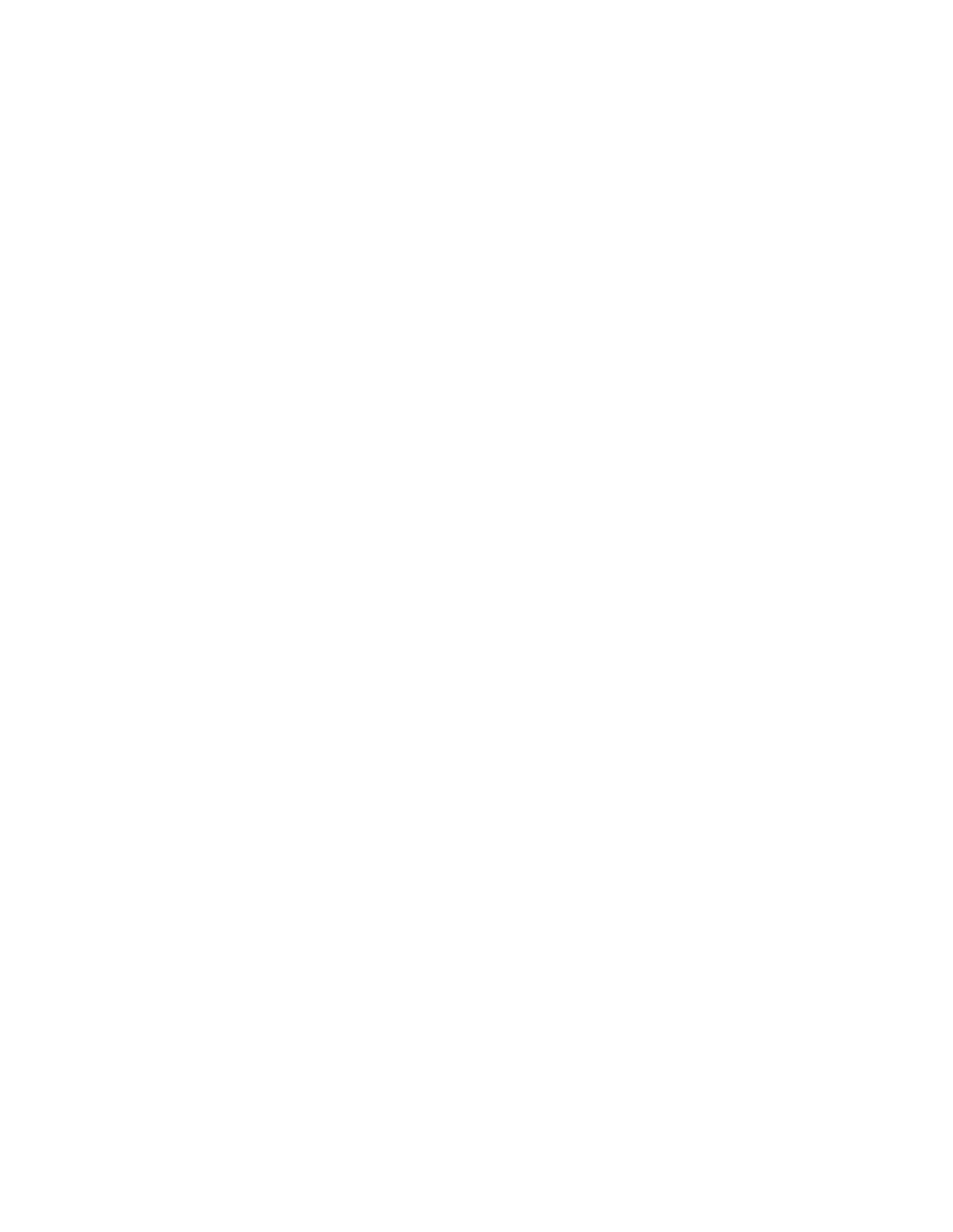# <span id="page-0-1"></span>Residential Child Care Institutions (RCCIs) in School Nutrition Programs Frequently Asked Questions

**KEY:** Items highlighted in yellow are updates, as of the time this document was last updated (July 2017).

**TABLE OF CONTENTS**: Click on any of the topics to be taken directly to the selected section.

- [Program Basics and Background](#page-0-0)
- [Training and Updates](#page-1-0)
- [Claiming](#page-2-0)
- [Meal Pattern](#page-2-1)
- [Smart Snacks](#page-6-0)
- [Special RCCI Circumstances](#page-3-0)

# <span id="page-0-0"></span>[PROGRAM BASICS AND BACKGROUND](#page-0-1)

#### Q1. Why are RCCIs in School Nutrition Programs?

**A1.** Since 1946, the National School Lunch Program (NSLP) has provided financial support and federally purchased commodities to help schools serve nourishing, well-balanced meals to children. The Child Nutrition Act of 1966 expanded the program to include breakfast. In 1975, an amendment to the National School Lunch Act extended eligibility to include RCCIs. Benefits provided through School Nutrition Programs (SNPs) such as the NSLP and School Breakfast Program (SBP) in RCCI facilities include cash reimbursement for breakfasts, lunches, and snacks planned according to meal program requirements (to ensure nutritional adequacy) and served to eligible students, as well as the provision of USDA donated food assistance (USDA foods) through the Food Distribution Program (FDP).

#### Q2. Which School Nutrition Programs can RCCIs participate in?

**A2.** RCCIs can participate in the National School Lunch Program (NSLP) and the School Breakfast Program (SBP) on all days of participation, not just school days. They may also participate in the Afterschool Snack Program any day of the week, as long as there is a structured, supervised enrichment activity that is taking place during the time snack is served. This means that these meals may be claimed on weekends and holidays. If an RCCI operates year-round, this also applies to summer months (be sure to select July and August as "extended school year" months in your annual application for School Nutrition Programs to claim these months).

#### Q3. Can RCCIs participate in the Child and Adult Care Food Program (CACFP)?

**A3.** No, not unless there are nonresidential day treatment students who participate in afterschool snack but do not stay at the RCCI (they are nonresidential). Generally, RCCIs are not allowed to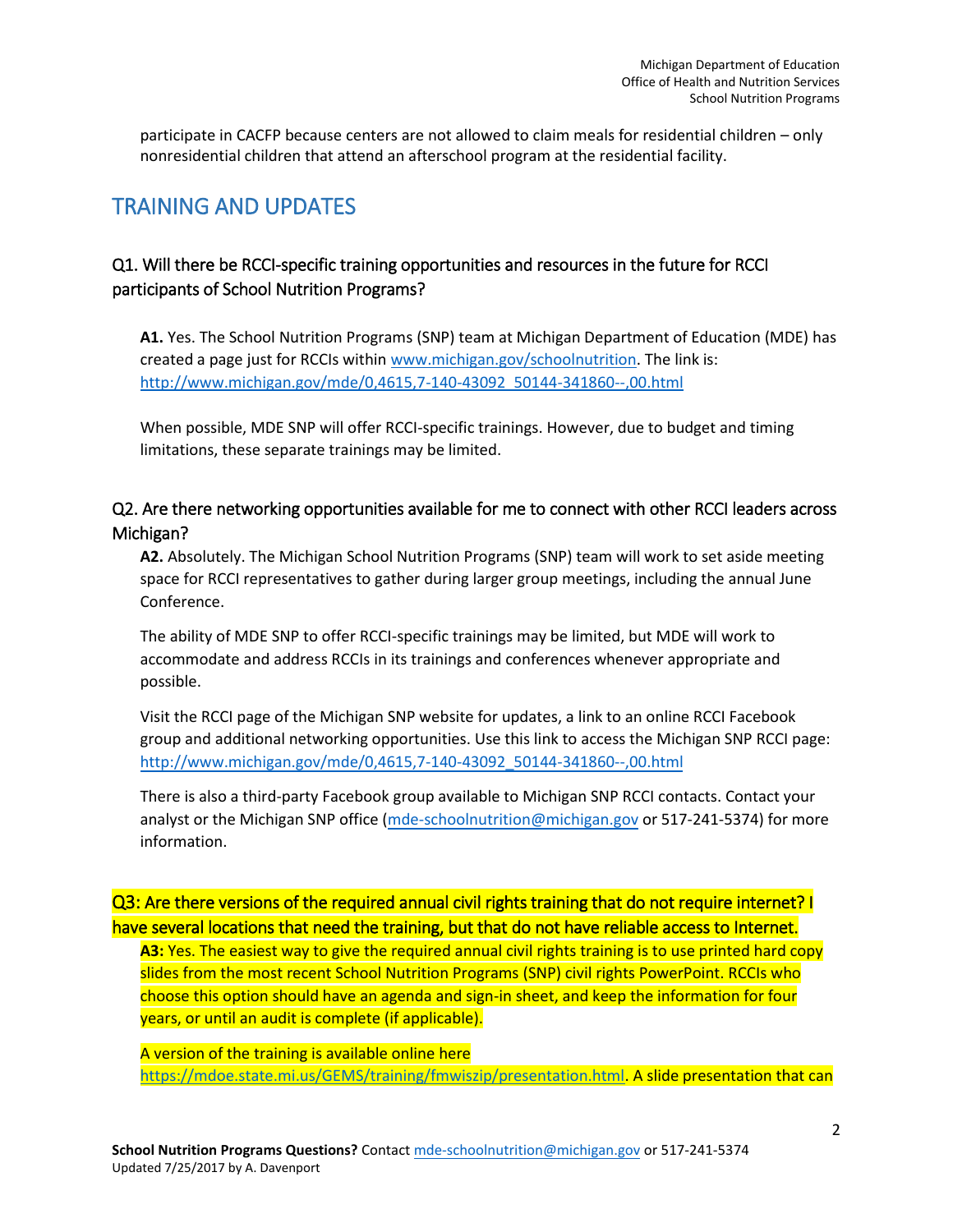participate in CACFP because centers are not allowed to claim meals for residential children – only nonresidential children that attend an afterschool program at the residential facility.

# <span id="page-1-0"></span>TRAINING AND UPDATES

# Q1. Will there be RCCI-specific training opportunities and resources in the future for RCCI participants of School Nutrition Programs?

**A1.** Yes. The School Nutrition Programs (SNP) team at Michigan Department of Education (MDE) has created a page just for RCCIs within [www.michigan.gov/schoolnutrition.](http://www.michigan.gov/schoolnutrition) The link is: [http://www.michigan.gov/mde/0,4615,7-140-43092\\_50144-341860--,00.html](http://www.michigan.gov/mde/0,4615,7-140-43092_50144-341860--,00.html)

When possible, MDE SNP will offer RCCI-specific trainings. However, due to budget and timing limitations, these separate trainings may be limited.

### Q2. Are there networking opportunities available for me to connect with other RCCI leaders across Michigan?

**A2.** Absolutely. The Michigan School Nutrition Programs (SNP) team will work to set aside meeting space for RCCI representatives to gather during larger group meetings, including the annual June Conference.

The ability of MDE SNP to offer RCCI-specific trainings may be limited, but MDE will work to accommodate and address RCCIs in its trainings and conferences whenever appropriate and possible.

Visit the RCCI page of the Michigan SNP website for updates, a link to an online RCCI Facebook group and additional networking opportunities. Use this link to access the Michigan SNP RCCI page: [http://www.michigan.gov/mde/0,4615,7-140-43092\\_50144-341860--,00.html](http://www.michigan.gov/mde/0,4615,7-140-43092_50144-341860--,00.html)

There is also a third-party Facebook group available to Michigan SNP RCCI contacts. Contact your analyst or the Michigan SNP office [\(mde-schoolnutrition@michigan.gov](mailto:mde-schoolnutrition@michigan.gov) or 517-373-3347) for more information.

# Q3: Are there versions of the required annual civil rights training that do not require internet? I have several locations that need the training, but that do not have reliable access to Internet.

**A3:** Yes. The easiest way to give the required annual civil rights training is to use printed hard copy slides from the most recent School Nutrition Programs (SNP) civil rights PowerPoint. RCCIs who choose this option should have an agenda and sign-in sheet, and keep the information for four years, or until an audit is complete (if applicable).

A version of the training is available online here [https://mdoe.state.mi.us/GEMS/training/fmwiszip/presentation.html.](https://mdoe.state.mi.us/GEMS/training/fmwiszip/presentation.html) A slide presentation that can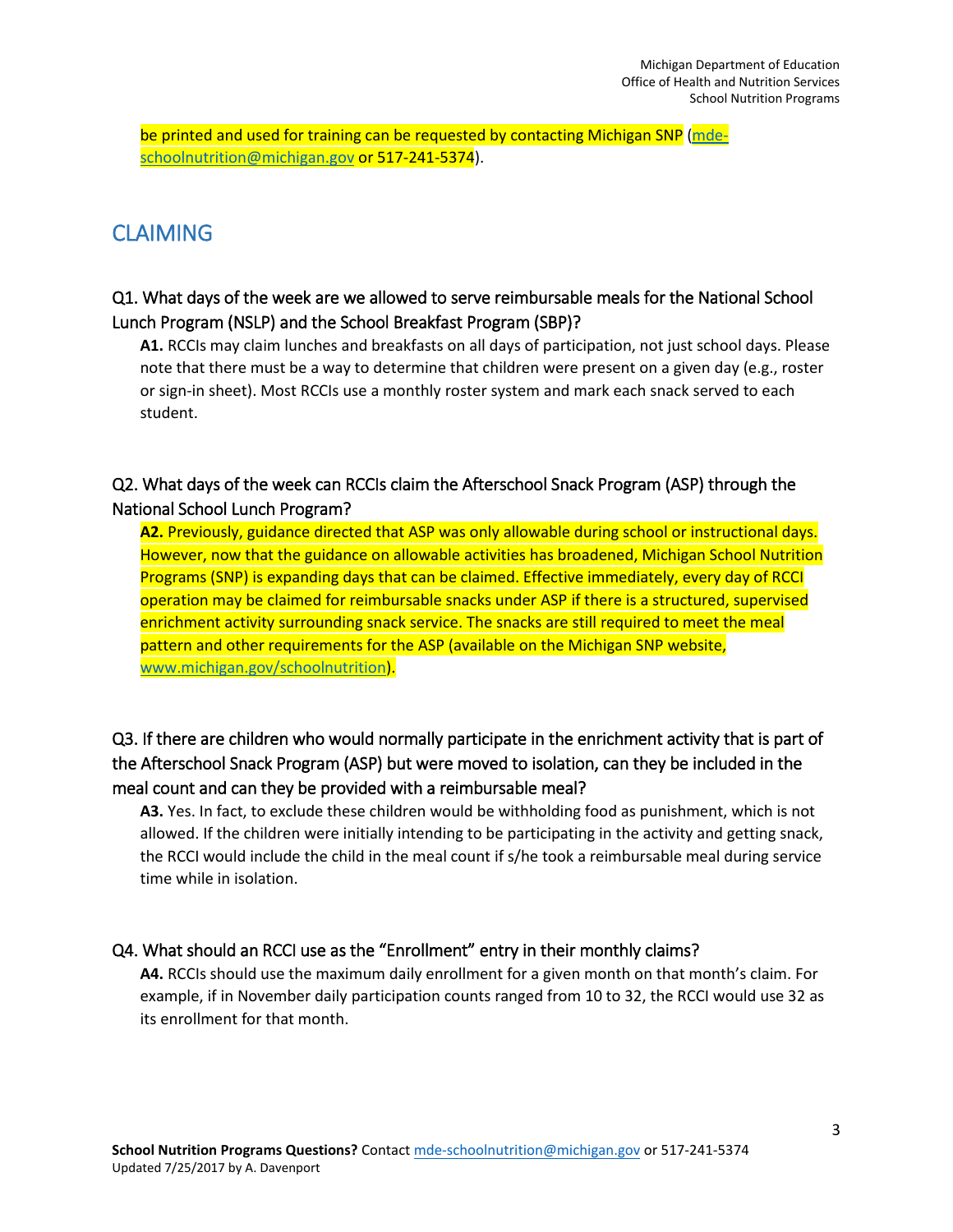be printed and used for training can be requested by contacting Michigan SNP [\(mde](mailto:mde-schoolnutrition@michigan.gov)[schoolnutrition@michigan.gov](mailto:mde-schoolnutrition@michigan.gov) or 517-373-3347).

# <span id="page-2-0"></span>CLAIMING

# Q1. What days of the week are we allowed to serve reimbursable meals for the National School Lunch Program (NSLP) and the School Breakfast Program (SBP)?

**A1.** RCCIs may claim lunches and breakfasts on all days of participation, not just school days. Please note that there must be a way to determine that children were present on a given day (e.g., roster or sign-in sheet). Most RCCIs use a monthly roster system and mark each snack served to each student.

# Q2. What days of the week can RCCIs claim the Afterschool Snack Program (ASP) through the National School Lunch Program?

**A2.** Previously, guidance directed that ASP was only allowable during school or instructional days. However, now that the guidance on allowable activities has broadened, Michigan School Nutrition Programs (SNP) is expanding days that can be claimed. Effective immediately, every day of RCCI operation may be claimed for reimbursable snacks under ASP if there is a structured, supervised enrichment activity surrounding snack service. The snacks are still required to meet the meal pattern and other requirements for the ASP (available on the Michigan SNP website, [www.michigan.gov/schoolnutrition\)](http://www.michigan.gov/schoolnutrition).

# Q3. If there are children who would normally participate in the enrichment activity that is part of the Afterschool Snack Program (ASP) but were moved to isolation, can they be included in the meal count and can they be provided with a reimbursable meal?

**A3.** Yes. In fact, to exclude these children would be withholding food as punishment, which is not allowed. If the children were initially intending to be participating in the activity and getting snack, the RCCI would include the child in the meal count if s/he took a reimbursable meal during service time while in isolation.

### <span id="page-2-1"></span>Q4. What should an RCCI use as the "Enrollment" entry in their monthly claims?

**A4.** RCCIs should use the maximum daily enrollment for a given month on that month's claim. For example, if in November daily participation counts ranged from 10 to 32, the RCCI would use 32 as its enrollment for that month.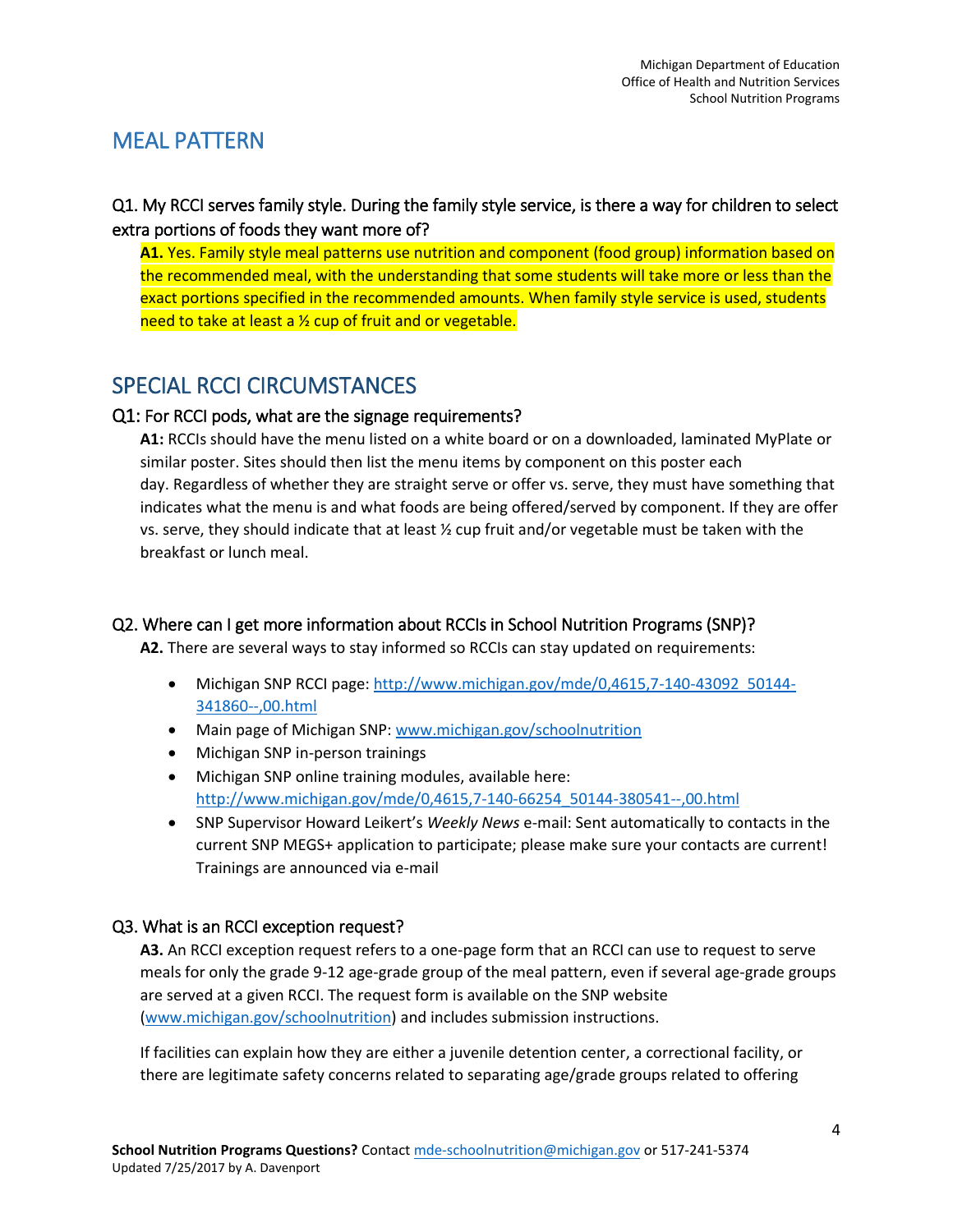# MEAL PATTERN

### Q1. My RCCI serves family style. During the family style service, is there a way for children to select extra portions of foods they want more of?

**A1.** Yes. Family style meal patterns use nutrition and component (food group) information based on the recommended meal, with the understanding that some students will take more or less than the exact portions specified in the recommended amounts. When family style service is used, students need to take at least a  $\frac{1}{2}$  cup of fruit and or vegetable.

# <span id="page-3-0"></span>SPECIAL RCCI CIRCUMSTANCES

### Q1: For RCCI pods, what are the signage requirements?

**A1:** RCCIs should have the menu listed on a white board or on a downloaded, laminated MyPlate or similar poster. Sites should then list the menu items by component on this poster each day. Regardless of whether they are straight serve or offer vs. serve, they must have something that indicates what the menu is and what foods are being offered/served by component. If they are offer vs. serve, they should indicate that at least  $\frac{1}{2}$  cup fruit and/or vegetable must be taken with the breakfast or lunch meal.

### Q2. Where can I get more information about RCCIs in School Nutrition Programs (SNP)?

**A2.** There are several ways to stay informed so RCCIs can stay updated on requirements:

- Michigan SNP RCCI page: [http://www.michigan.gov/mde/0,4615,7-140-43092\\_50144-](http://www.michigan.gov/mde/0,4615,7-140-43092_50144-341860--,00.html) [341860--,00.html](http://www.michigan.gov/mde/0,4615,7-140-43092_50144-341860--,00.html)
- Main page of Michigan SNP: [www.michigan.gov/schoolnutrition](http://www.michigan.gov/schoolnutrition)
- Michigan SNP in-person trainings
- Michigan SNP online training modules, available here: [http://www.michigan.gov/mde/0,4615,7-140-66254\\_50144-380541--,00.html](http://www.michigan.gov/mde/0,4615,7-140-66254_50144-380541--,00.html)
- SNP Supervisor Howard Leikert's *Weekly News* e-mail: Sent automatically to contacts in the current SNP MEGS+ application to participate; please make sure your contacts are current! Trainings are announced via e-mail

#### Q3. What is an RCCI exception request?

**A3.** An RCCI exception request refers to a one-page form that an RCCI can use to request to serve meals for only the grade 9-12 age-grade group of the meal pattern, even if several age-grade groups are served at a given RCCI. The request form is available on the SNP website [\(www.michigan.gov/schoolnutrition\)](http://www.michigan.gov/schoolnutrition) and includes submission instructions.

If facilities can explain how they are either a juvenile detention center, a correctional facility, or there are legitimate safety concerns related to separating age/grade groups related to offering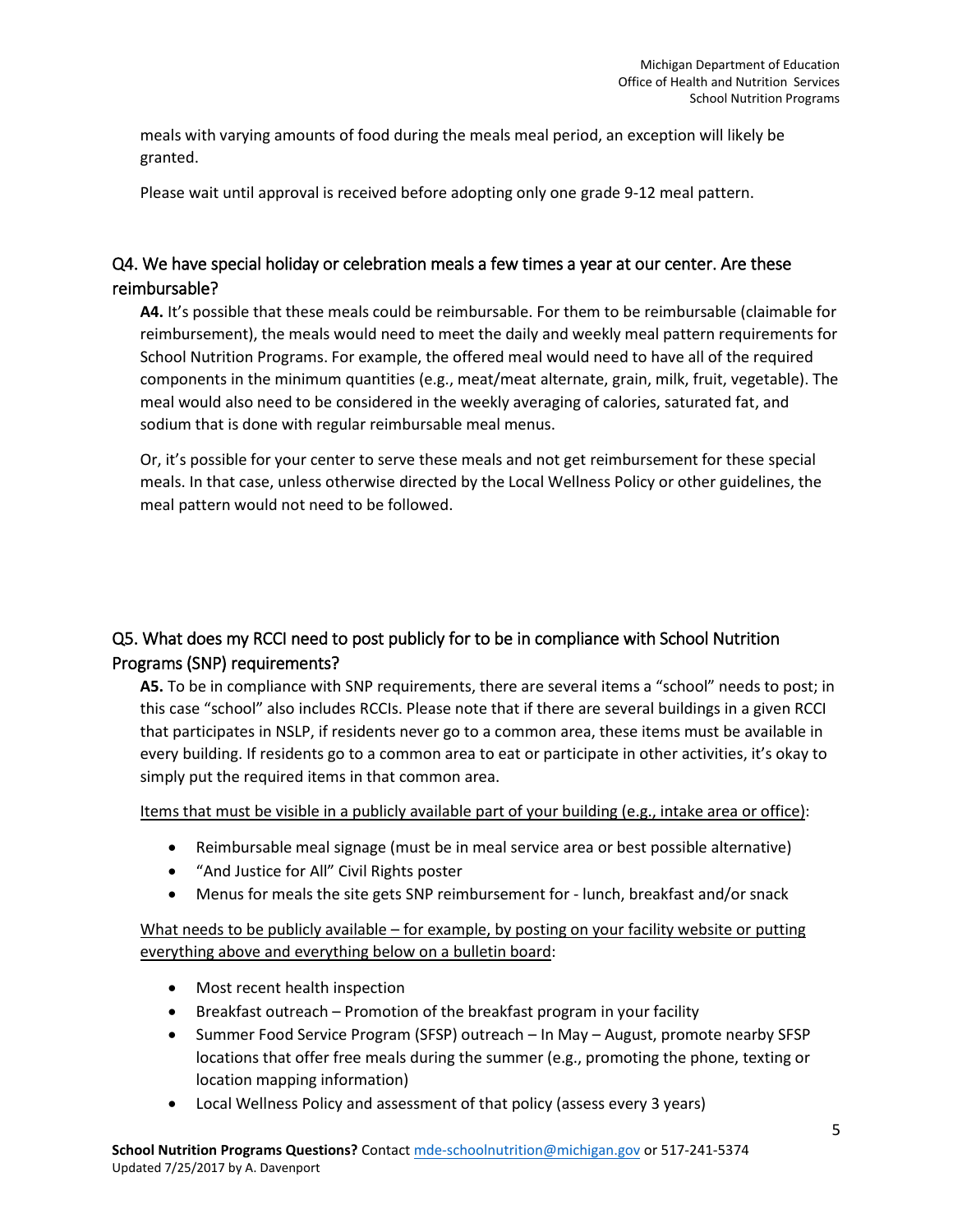meals with varying amounts of food during the meals meal period, an exception will likely be granted.

Please wait until approval is received before adopting only one grade 9-12 meal pattern.

# Q4. We have special holiday or celebration meals a few times a year at our center. Are these reimbursable?

**A4.** It's possible that these meals could be reimbursable. For them to be reimbursable (claimable for reimbursement), the meals would need to meet the daily and weekly meal pattern requirements for School Nutrition Programs. For example, the offered meal would need to have all of the required components in the minimum quantities (e.g., meat/meat alternate, grain, milk, fruit, vegetable). The meal would also need to be considered in the weekly averaging of calories, saturated fat, and sodium that is done with regular reimbursable meal menus.

Or, it's possible for your center to serve these meals and not get reimbursement for these special meals. In that case, unless otherwise directed by the Local Wellness Policy or other guidelines, the meal pattern would not need to be followed.

# Q5. What does my RCCI need to post publicly for to be in compliance with School Nutrition Programs (SNP) requirements?

**A5.** To be in compliance with SNP requirements, there are several items a "school" needs to post; in this case "school" also includes RCCIs. Please note that if there are several buildings in a given RCCI that participates in NSLP, if residents never go to a common area, these items must be available in every building. If residents go to a common area to eat or participate in other activities, it's okay to simply put the required items in that common area.

Items that must be visible in a publicly available part of your building (e.g., intake area or office):

- Reimbursable meal signage (must be in meal service area or best possible alternative)
- "And Justice for All" Civil Rights poster
- Menus for meals the site gets SNP reimbursement for lunch, breakfast and/or snack

What needs to be publicly available – for example, by posting on your facility website or putting everything above and everything below on a bulletin board:

- Most recent health inspection
- Breakfast outreach Promotion of the breakfast program in your facility
- Summer Food Service Program (SFSP) outreach In May August, promote nearby SFSP locations that offer free meals during the summer (e.g., promoting the phone, texting or location mapping information)
- Local Wellness Policy and assessment of that policy (assess every 3 years)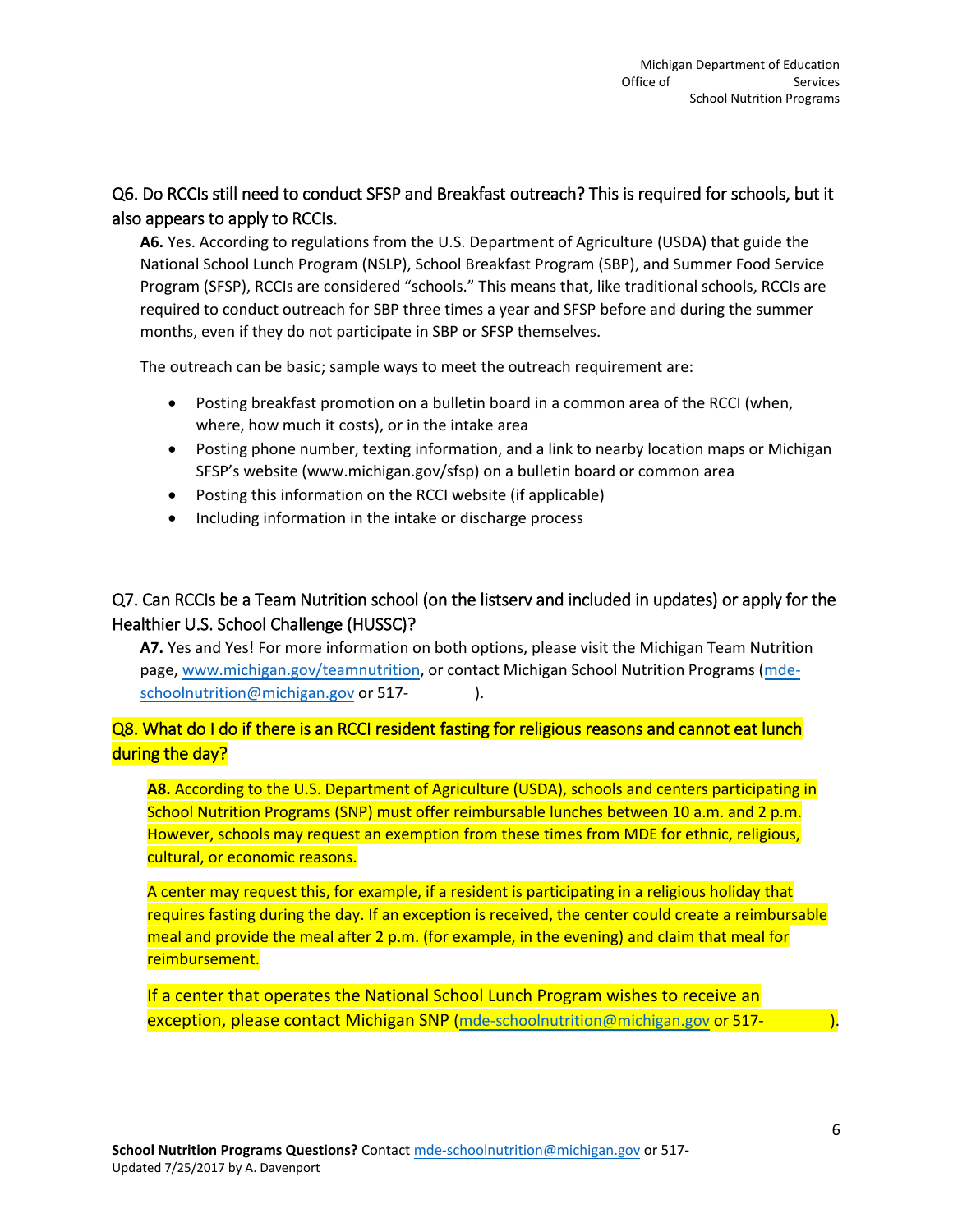### Q6. Do RCCIs still need to conduct SFSP and Breakfast outreach? This is required for schools, but it also appears to apply to RCCIs.

**A6.** Yes. According to regulations from the U.S. Department of Agriculture (USDA) that guide the National School Lunch Program (NSLP), School Breakfast Program (SBP), and Summer Food Service Program (SFSP), RCCIs are considered "schools." This means that, like traditional schools, RCCIs are required to conduct outreach for SBP three times a year and SFSP before and during the summer months, even if they do not participate in SBP or SFSP themselves.

The outreach can be basic; sample ways to meet the outreach requirement are:

- Posting breakfast promotion on a bulletin board in a common area of the RCCI (when, where, how much it costs), or in the intake area
- Posting phone number, texting information, and a link to nearby location maps or Michigan SFSP's website (www.michigan.gov/sfsp) on a bulletin board or common area
- Posting this information on the RCCI website (if applicable)
- Including information in the intake or discharge process

# Q7. Can RCCIs be a Team Nutrition school (on the listserv and included in updates) or apply for the Healthier U.S. School Challenge (HUSSC)?

**A7.** Yes and Yes! For more information on both options, please visit the Michigan Team Nutrition page, [www.michigan.gov/teamnutrition,](http://www.michigan.gov/teamnutrition) or contact Michigan School Nutrition Programs [\(mde](mailto:mde-schoolnutrition@michigan.gov)[schoolnutrition@michigan.gov](mailto:mde-schoolnutrition@michigan.gov) or 517-373-3347).

# Q8. What do I do if there is an RCCI resident fasting for religious reasons and cannot eat lunch during the day?

**A8.** According to the U.S. Department of Agriculture (USDA), schools and centers participating in School Nutrition Programs (SNP) must offer reimbursable lunches between 10 a.m. and 2 p.m. However, schools may request an exemption from these times from MDE for ethnic, religious, cultural, or economic reasons.

A center may request this, for example, if a resident is participating in a religious holiday that requires fasting during the day. If an exception is received, the center could create a reimbursable meal and provide the meal after 2 p.m. (for example, in the evening) and claim that meal for reimbursement.

If a center that operates the National School Lunch Program wishes to receive an exception, please contact Michigan SNP [\(mde-schoolnutrition@michigan.gov](mailto:mde-schoolnutrition@michigan.gov) or 517-373-3347).